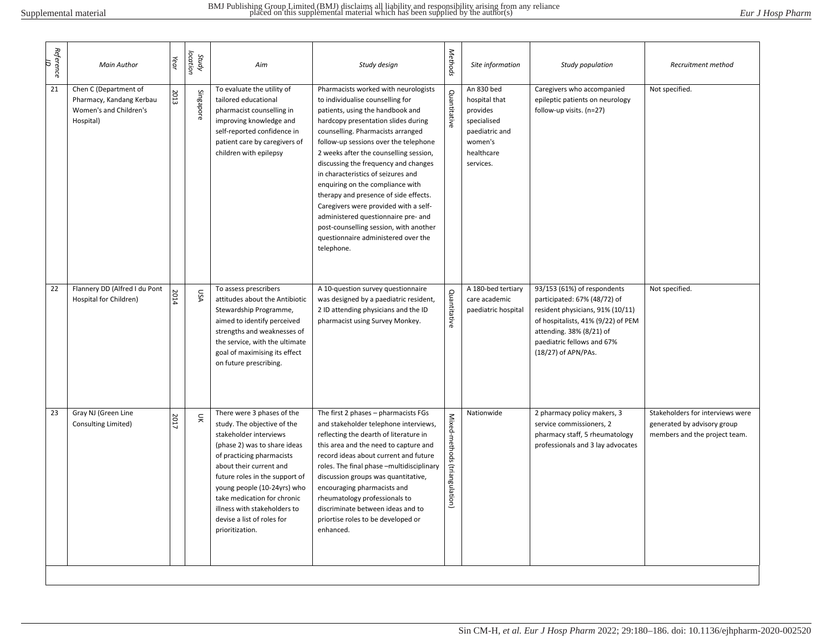| Reference<br>9 | <b>Main Author</b>                                                                       | Year | Study<br>location | Aim                                                                                                                                                                                                                                                                                                                                                          | Study design                                                                                                                                                                                                                                                                                                                                                                                                                                                                                                                                                                                                          | Methods                       | Site information                                                                                               | Study population                                                                                                                                                                                                       | Recruitment method                                                                               |
|----------------|------------------------------------------------------------------------------------------|------|-------------------|--------------------------------------------------------------------------------------------------------------------------------------------------------------------------------------------------------------------------------------------------------------------------------------------------------------------------------------------------------------|-----------------------------------------------------------------------------------------------------------------------------------------------------------------------------------------------------------------------------------------------------------------------------------------------------------------------------------------------------------------------------------------------------------------------------------------------------------------------------------------------------------------------------------------------------------------------------------------------------------------------|-------------------------------|----------------------------------------------------------------------------------------------------------------|------------------------------------------------------------------------------------------------------------------------------------------------------------------------------------------------------------------------|--------------------------------------------------------------------------------------------------|
| 21             | Chen C (Department of<br>Pharmacy, Kandang Kerbau<br>Women's and Children's<br>Hospital) | 2013 | Singapore         | To evaluate the utility of<br>tailored educational<br>pharmacist counselling in<br>improving knowledge and<br>self-reported confidence in<br>patient care by caregivers of<br>children with epilepsy                                                                                                                                                         | Pharmacists worked with neurologists<br>to individualise counselling for<br>patients, using the handbook and<br>hardcopy presentation slides during<br>counselling. Pharmacists arranged<br>follow-up sessions over the telephone<br>2 weeks after the counselling session,<br>discussing the frequency and changes<br>in characteristics of seizures and<br>enquiring on the compliance with<br>therapy and presence of side effects.<br>Caregivers were provided with a self-<br>administered questionnaire pre- and<br>post-counselling session, with another<br>questionnaire administered over the<br>telephone. | Quantitative                  | An 830 bed<br>hospital that<br>provides<br>specialised<br>paediatric and<br>women's<br>healthcare<br>services. | Caregivers who accompanied<br>epileptic patients on neurology<br>follow-up visits. (n=27)                                                                                                                              | Not specified.                                                                                   |
| 22             | Flannery DD (Alfred I du Pont<br>Hospital for Children)                                  | 2014 | ASU               | To assess prescribers<br>attitudes about the Antibiotic<br>Stewardship Programme,<br>aimed to identify perceived<br>strengths and weaknesses of<br>the service, with the ultimate<br>goal of maximising its effect<br>on future prescribing.                                                                                                                 | A 10-question survey questionnaire<br>was designed by a paediatric resident,<br>2 ID attending physicians and the ID<br>pharmacist using Survey Monkey.                                                                                                                                                                                                                                                                                                                                                                                                                                                               | Quantitative                  | A 180-bed tertiary<br>care academic<br>paediatric hospital                                                     | 93/153 (61%) of respondents<br>participated: 67% (48/72) of<br>resident physicians, 91% (10/11)<br>of hospitalists, 41% (9/22) of PEM<br>attending. 38% (8/21) of<br>paediatric fellows and 67%<br>(18/27) of APN/PAs. | Not specified.                                                                                   |
| 23             | Gray NJ (Green Line<br>Consulting Limited)                                               | 2017 | $\tilde{z}$       | There were 3 phases of the<br>study. The objective of the<br>stakeholder interviews<br>(phase 2) was to share ideas<br>of practicing pharmacists<br>about their current and<br>future roles in the support of<br>young people (10-24yrs) who<br>take medication for chronic<br>illness with stakeholders to<br>devise a list of roles for<br>prioritization. | The first 2 phases - pharmacists FGs<br>and stakeholder telephone interviews,<br>reflecting the dearth of literature in<br>this area and the need to capture and<br>record ideas about current and future<br>roles. The final phase -multidisciplinary<br>discussion groups was quantitative,<br>encouraging pharmacists and<br>rheumatology professionals to<br>discriminate between ideas and to<br>priortise roles to be developed or<br>enhanced.                                                                                                                                                                 | Mixed-methods (triangulation) | Nationwide                                                                                                     | 2 pharmacy policy makers, 3<br>service commissioners, 2<br>pharmacy staff, 5 rheumatology<br>professionals and 3 lay advocates                                                                                         | Stakeholders for interviews were<br>generated by advisory group<br>members and the project team. |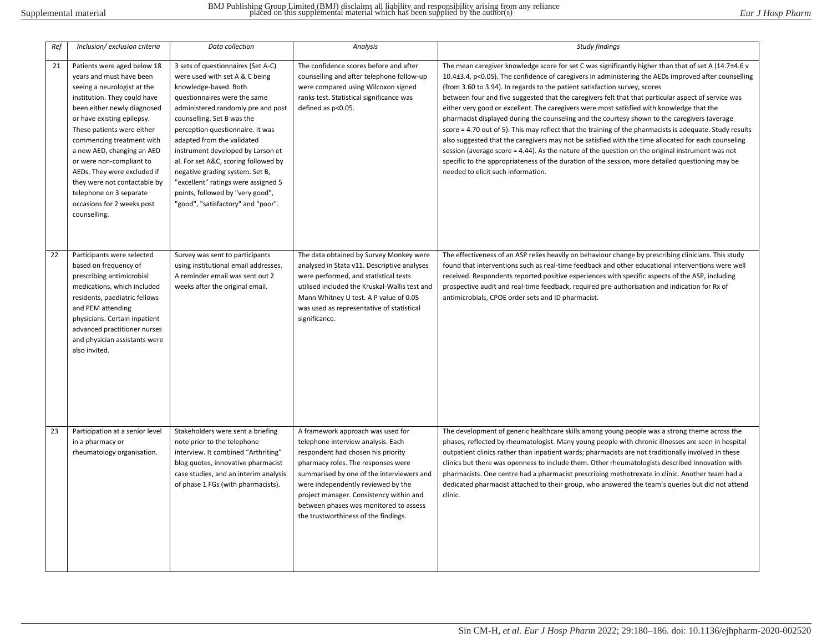| Ref | Inclusion/ exclusion criteria                                                                                                                                                                                                                                                                                                                                                                                                                    | Data collection                                                                                                                                                                                                                                                                                                                                                                                                                                                                                      | <b>Analysis</b>                                                                                                                                                                                                                                                                                                                                                     | <b>Study findings</b>                                                                                                                                                                                                                                                                                                                                                                                                                                                                                                                                                                                                                                                                                                                                                                                                                                                                                                                                                                                                                                             |
|-----|--------------------------------------------------------------------------------------------------------------------------------------------------------------------------------------------------------------------------------------------------------------------------------------------------------------------------------------------------------------------------------------------------------------------------------------------------|------------------------------------------------------------------------------------------------------------------------------------------------------------------------------------------------------------------------------------------------------------------------------------------------------------------------------------------------------------------------------------------------------------------------------------------------------------------------------------------------------|---------------------------------------------------------------------------------------------------------------------------------------------------------------------------------------------------------------------------------------------------------------------------------------------------------------------------------------------------------------------|-------------------------------------------------------------------------------------------------------------------------------------------------------------------------------------------------------------------------------------------------------------------------------------------------------------------------------------------------------------------------------------------------------------------------------------------------------------------------------------------------------------------------------------------------------------------------------------------------------------------------------------------------------------------------------------------------------------------------------------------------------------------------------------------------------------------------------------------------------------------------------------------------------------------------------------------------------------------------------------------------------------------------------------------------------------------|
| 21  | Patients were aged below 18<br>years and must have been<br>seeing a neurologist at the<br>institution. They could have<br>been either newly diagnosed<br>or have existing epilepsy.<br>These patients were either<br>commencing treatment with<br>a new AED, changing an AED<br>or were non-compliant to<br>AEDs. They were excluded if<br>they were not contactable by<br>telephone on 3 separate<br>occasions for 2 weeks post<br>counselling. | 3 sets of questionnaires (Set A-C)<br>were used with set A & C being<br>knowledge-based. Both<br>questionnaires were the same<br>administered randomly pre and post<br>counselling. Set B was the<br>perception questionnaire. It was<br>adapted from the validated<br>instrument developed by Larson et<br>al. For set A&C, scoring followed by<br>negative grading system. Set B,<br>"excellent" ratings were assigned 5<br>points, followed by "very good",<br>"good", "satisfactory" and "poor". | The confidence scores before and after<br>counselling and after telephone follow-up<br>were compared using Wilcoxon signed<br>ranks test. Statistical significance was<br>defined as p<0.05.                                                                                                                                                                        | The mean caregiver knowledge score for set C was significantly higher than that of set A (14.7±4.6 v<br>10.4±3.4, p<0.05). The confidence of caregivers in administering the AEDs improved after counselling<br>(from 3.60 to 3.94). In regards to the patient satisfaction survey, scores<br>between four and five suggested that the caregivers felt that that particular aspect of service was<br>either very good or excellent. The caregivers were most satisfied with knowledge that the<br>pharmacist displayed during the counseling and the courtesy shown to the caregivers (average<br>score = 4.70 out of 5). This may reflect that the training of the pharmacists is adequate. Study results<br>also suggested that the caregivers may not be satisfied with the time allocated for each counseling<br>session (average score $=$ 4.44). As the nature of the question on the original instrument was not<br>specific to the appropriateness of the duration of the session, more detailed questioning may be<br>needed to elicit such information. |
| 22  | Participants were selected<br>based on frequency of<br>prescribing antimicrobial<br>medications, which included<br>residents, paediatric fellows<br>and PEM attending<br>physicians. Certain inpatient<br>advanced practitioner nurses<br>and physician assistants were<br>also invited.                                                                                                                                                         | Survey was sent to participants<br>using institutional email addresses.<br>A reminder email was sent out 2<br>weeks after the original email.                                                                                                                                                                                                                                                                                                                                                        | The data obtained by Survey Monkey were<br>analysed in Stata v11. Descriptive analyses<br>were performed, and statistical tests<br>utilised included the Kruskal-Wallis test and<br>Mann Whitney U test. A P value of 0.05<br>was used as representative of statistical<br>significance.                                                                            | The effectiveness of an ASP relies heavily on behaviour change by prescribing clinicians. This study<br>found that interventions such as real-time feedback and other educational interventions were well<br>received. Respondents reported positive experiences with specific aspects of the ASP, including<br>prospective audit and real-time feedback, required pre-authorisation and indication for Rx of<br>antimicrobials, CPOE order sets and ID pharmacist.                                                                                                                                                                                                                                                                                                                                                                                                                                                                                                                                                                                               |
| 23  | Participation at a senior level<br>in a pharmacy or<br>rheumatology organisation.                                                                                                                                                                                                                                                                                                                                                                | Stakeholders were sent a briefing<br>note prior to the telephone<br>interview. It combined "Arthriting"<br>blog quotes, innovative pharmacist<br>case studies, and an interim analysis<br>of phase 1 FGs (with pharmacists).                                                                                                                                                                                                                                                                         | A framework approach was used for<br>telephone interview analysis. Each<br>respondent had chosen his priority<br>pharmacy roles. The responses were<br>summarised by one of the interviewers and<br>were independently reviewed by the<br>project manager. Consistency within and<br>between phases was monitored to assess<br>the trustworthiness of the findings. | The development of generic healthcare skills among young people was a strong theme across the<br>phases, reflected by rheumatologist. Many young people with chronic illnesses are seen in hospital<br>outpatient clinics rather than inpatient wards; pharmacists are not traditionally involved in these<br>clinics but there was openness to include them. Other rheumatologists described innovation with<br>pharmacists. One centre had a pharmacist prescribing methotrexate in clinic. Another team had a<br>dedicated pharmacist attached to their group, who answered the team's queries but did not attend<br>clinic.                                                                                                                                                                                                                                                                                                                                                                                                                                   |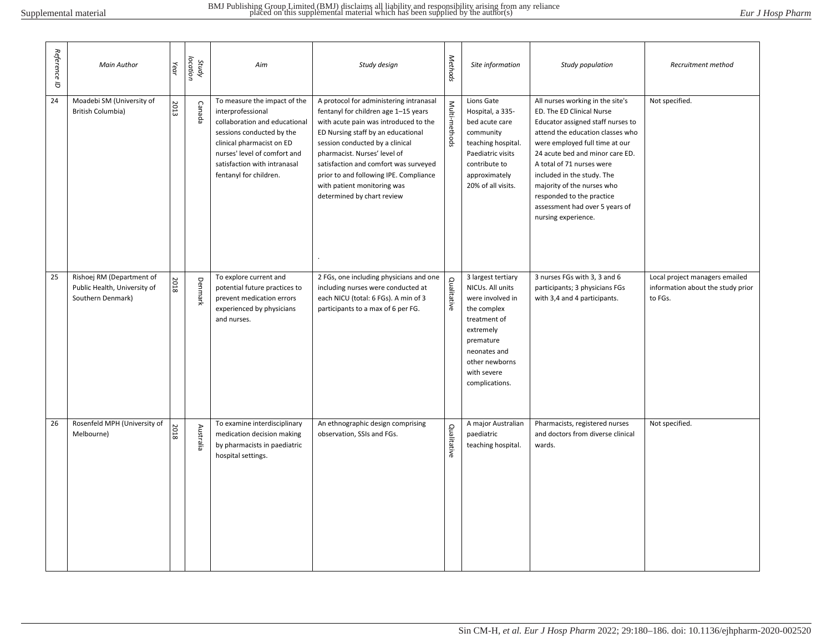| Reference<br>$\vec{\sigma}$ | <b>Main Author</b>                                                             | Year | Study<br>location | Aim                                                                                                                                                                                                                                    | Study design                                                                                                                                                                                                                                                                                                                                                                      | Methods       | Site information                                                                                                                                                                       | Study population                                                                                                                                                                                                                                                                                                                                                                           | Recruitment method                                                             |
|-----------------------------|--------------------------------------------------------------------------------|------|-------------------|----------------------------------------------------------------------------------------------------------------------------------------------------------------------------------------------------------------------------------------|-----------------------------------------------------------------------------------------------------------------------------------------------------------------------------------------------------------------------------------------------------------------------------------------------------------------------------------------------------------------------------------|---------------|----------------------------------------------------------------------------------------------------------------------------------------------------------------------------------------|--------------------------------------------------------------------------------------------------------------------------------------------------------------------------------------------------------------------------------------------------------------------------------------------------------------------------------------------------------------------------------------------|--------------------------------------------------------------------------------|
| 24                          | Moadebi SM (University of<br>British Columbia)                                 | 2013 | Canada            | To measure the impact of the<br>interprofessional<br>collaboration and educational<br>sessions conducted by the<br>clinical pharmacist on ED<br>nurses' level of comfort and<br>satisfaction with intranasal<br>fentanyl for children. | A protocol for administering intranasal<br>fentanyl for children age 1-15 years<br>with acute pain was introduced to the<br>ED Nursing staff by an educational<br>session conducted by a clinical<br>pharmacist. Nurses' level of<br>satisfaction and comfort was surveyed<br>prior to and following IPE. Compliance<br>with patient monitoring was<br>determined by chart review | Multi-methods | Lions Gate<br>Hospital, a 335-<br>bed acute care<br>community<br>teaching hospital.<br>Paediatric visits<br>contribute to<br>approximately<br>20% of all visits.                       | All nurses working in the site's<br>ED. The ED Clinical Nurse<br>Educator assigned staff nurses to<br>attend the education classes who<br>were employed full time at our<br>24 acute bed and minor care ED.<br>A total of 71 nurses were<br>included in the study. The<br>majority of the nurses who<br>responded to the practice<br>assessment had over 5 years of<br>nursing experience. | Not specified.                                                                 |
| 25                          | Rishoej RM (Department of<br>Public Health, University of<br>Southern Denmark) | 2018 | Denmark           | To explore current and<br>potential future practices to<br>prevent medication errors<br>experienced by physicians<br>and nurses.                                                                                                       | 2 FGs, one including physicians and one<br>including nurses were conducted at<br>each NICU (total: 6 FGs). A min of 3<br>participants to a max of 6 per FG.                                                                                                                                                                                                                       | Qualitative   | 3 largest tertiary<br>NICUs. All units<br>were involved in<br>the complex<br>treatment of<br>extremely<br>premature<br>neonates and<br>other newborns<br>with severe<br>complications. | 3 nurses FGs with 3, 3 and 6<br>participants; 3 physicians FGs<br>with 3,4 and 4 participants.                                                                                                                                                                                                                                                                                             | Local project managers emailed<br>information about the study prior<br>to FGs. |
| 26                          | Rosenfeld MPH (University of<br>Melbourne)                                     | 2018 | Australia         | To examine interdisciplinary<br>medication decision making<br>by pharmacists in paediatric<br>hospital settings.                                                                                                                       | An ethnographic design comprising<br>observation, SSIs and FGs.                                                                                                                                                                                                                                                                                                                   | Qualitative   | A major Australian<br>paediatric<br>teaching hospital.                                                                                                                                 | Pharmacists, registered nurses<br>and doctors from diverse clinical<br>wards.                                                                                                                                                                                                                                                                                                              | Not specified.                                                                 |